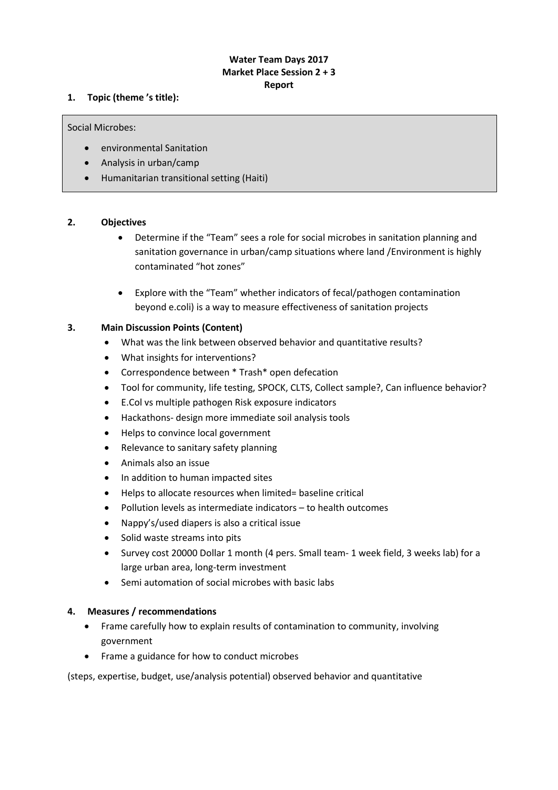# **Water Team Days 2017 Market Place Session 2 + 3 Report**

# **1. Topic (theme 's title):**

Social Microbes:

- environmental Sanitation
- Analysis in urban/camp
- Humanitarian transitional setting (Haiti)

# **2. Objectives**

- Determine if the "Team" sees a role for social microbes in sanitation planning and sanitation governance in urban/camp situations where land /Environment is highly contaminated "hot zones"
- Explore with the "Team" whether indicators of fecal/pathogen contamination beyond e.coli) is a way to measure effectiveness of sanitation projects

# **3. Main Discussion Points (Content)**

- What was the link between observed behavior and quantitative results?
- What insights for interventions?
- Correspondence between \* Trash\* open defecation
- Tool for community, life testing, SPOCK, CLTS, Collect sample?, Can influence behavior?
- E.Col vs multiple pathogen Risk exposure indicators
- Hackathons- design more immediate soil analysis tools
- Helps to convince local government
- Relevance to sanitary safety planning
- Animals also an issue
- In addition to human impacted sites
- Helps to allocate resources when limited= baseline critical
- Pollution levels as intermediate indicators to health outcomes
- Nappy's/used diapers is also a critical issue
- Solid waste streams into pits
- Survey cost 20000 Dollar 1 month (4 pers. Small team- 1 week field, 3 weeks lab) for a large urban area, long-term investment
- Semi automation of social microbes with basic labs

# **4. Measures / recommendations**

- Frame carefully how to explain results of contamination to community, involving government
- Frame a guidance for how to conduct microbes

(steps, expertise, budget, use/analysis potential) observed behavior and quantitative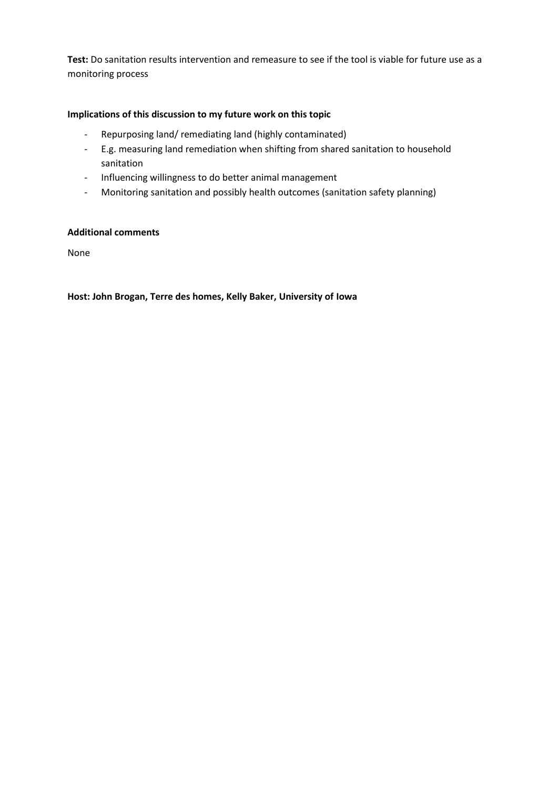**Test:** Do sanitation results intervention and remeasure to see if the tool is viable for future use as a monitoring process

# **Implications of this discussion to my future work on this topic**

- Repurposing land/ remediating land (highly contaminated)
- E.g. measuring land remediation when shifting from shared sanitation to household sanitation
- Influencing willingness to do better animal management
- Monitoring sanitation and possibly health outcomes (sanitation safety planning)

# **Additional comments**

None

**Host: John Brogan, Terre des homes, Kelly Baker, University of Iowa**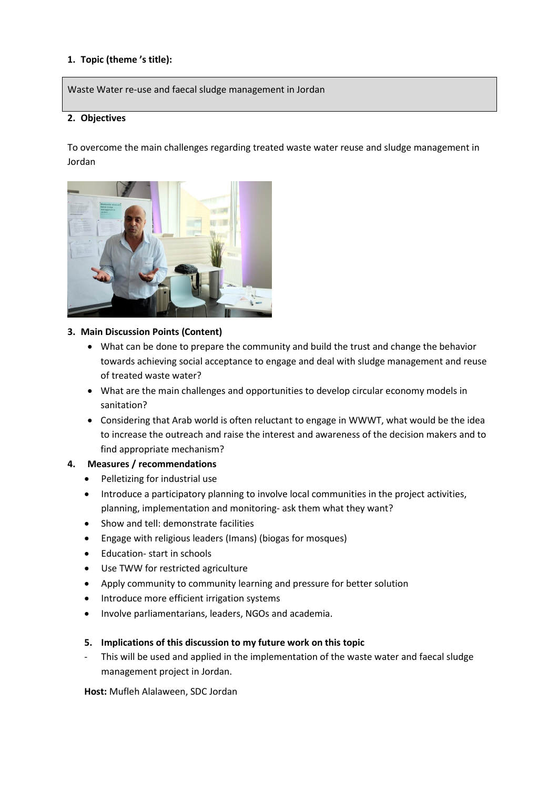Waste Water re-use and faecal sludge management in Jordan

## **2. Objectives**

To overcome the main challenges regarding treated waste water reuse and sludge management in Jordan



#### **3. Main Discussion Points (Content)**

- What can be done to prepare the community and build the trust and change the behavior towards achieving social acceptance to engage and deal with sludge management and reuse of treated waste water?
- What are the main challenges and opportunities to develop circular economy models in sanitation?
- Considering that Arab world is often reluctant to engage in WWWT, what would be the idea to increase the outreach and raise the interest and awareness of the decision makers and to find appropriate mechanism?

### **4. Measures / recommendations**

- Pelletizing for industrial use
- Introduce a participatory planning to involve local communities in the project activities, planning, implementation and monitoring- ask them what they want?
- Show and tell: demonstrate facilities
- Engage with religious leaders (Imans) (biogas for mosques)
- Education- start in schools
- Use TWW for restricted agriculture
- Apply community to community learning and pressure for better solution
- Introduce more efficient irrigation systems
- Involve parliamentarians, leaders, NGOs and academia.
- **5. Implications of this discussion to my future work on this topic**
- This will be used and applied in the implementation of the waste water and faecal sludge management project in Jordan.

**Host:** Mufleh Alalaween, SDC Jordan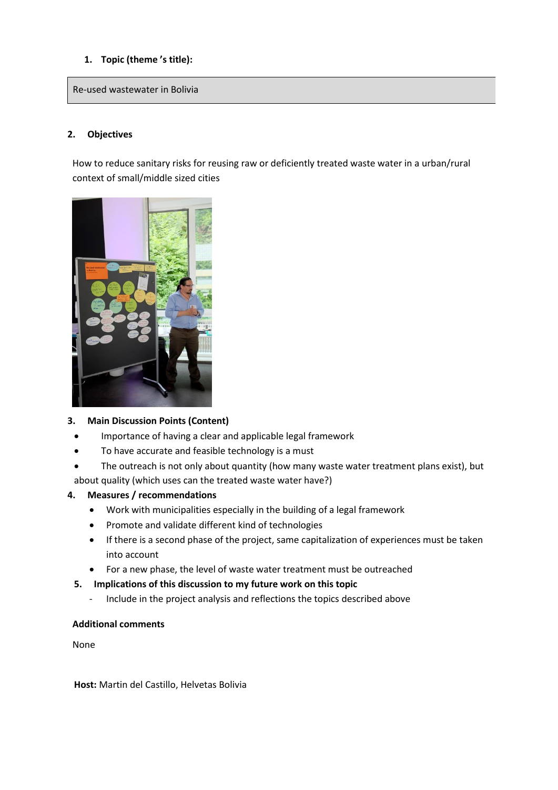Re-used wastewater in Bolivia

# **2. Objectives**

How to reduce sanitary risks for reusing raw or deficiently treated waste water in a urban/rural context of small/middle sized cities



# **3. Main Discussion Points (Content)**

- Importance of having a clear and applicable legal framework
- To have accurate and feasible technology is a must
- The outreach is not only about quantity (how many waste water treatment plans exist), but about quality (which uses can the treated waste water have?)

### **4. Measures / recommendations**

- Work with municipalities especially in the building of a legal framework
- Promote and validate different kind of technologies
- If there is a second phase of the project, same capitalization of experiences must be taken into account
- For a new phase, the level of waste water treatment must be outreached
- **5. Implications of this discussion to my future work on this topic**
	- Include in the project analysis and reflections the topics described above

### **Additional comments**

None

**Host:** Martin del Castillo, Helvetas Bolivia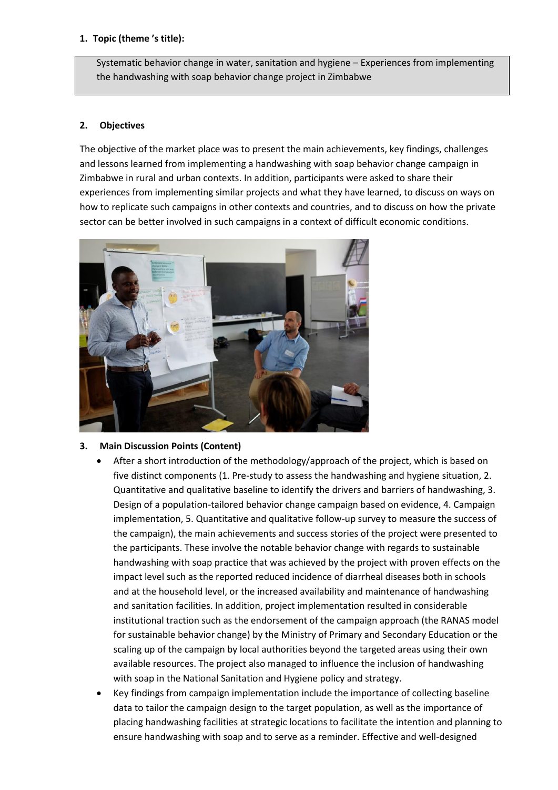Systematic behavior change in water, sanitation and hygiene – Experiences from implementing the handwashing with soap behavior change project in Zimbabwe

# **2. Objectives**

The objective of the market place was to present the main achievements, key findings, challenges and lessons learned from implementing a handwashing with soap behavior change campaign in Zimbabwe in rural and urban contexts. In addition, participants were asked to share their experiences from implementing similar projects and what they have learned, to discuss on ways on how to replicate such campaigns in other contexts and countries, and to discuss on how the private sector can be better involved in such campaigns in a context of difficult economic conditions.



# **3. Main Discussion Points (Content)**

- After a short introduction of the methodology/approach of the project, which is based on five distinct components (1. Pre-study to assess the handwashing and hygiene situation, 2. Quantitative and qualitative baseline to identify the drivers and barriers of handwashing, 3. Design of a population-tailored behavior change campaign based on evidence, 4. Campaign implementation, 5. Quantitative and qualitative follow-up survey to measure the success of the campaign), the main achievements and success stories of the project were presented to the participants. These involve the notable behavior change with regards to sustainable handwashing with soap practice that was achieved by the project with proven effects on the impact level such as the reported reduced incidence of diarrheal diseases both in schools and at the household level, or the increased availability and maintenance of handwashing and sanitation facilities. In addition, project implementation resulted in considerable institutional traction such as the endorsement of the campaign approach (the RANAS model for sustainable behavior change) by the Ministry of Primary and Secondary Education or the scaling up of the campaign by local authorities beyond the targeted areas using their own available resources. The project also managed to influence the inclusion of handwashing with soap in the National Sanitation and Hygiene policy and strategy.
- Key findings from campaign implementation include the importance of collecting baseline data to tailor the campaign design to the target population, as well as the importance of placing handwashing facilities at strategic locations to facilitate the intention and planning to ensure handwashing with soap and to serve as a reminder. Effective and well-designed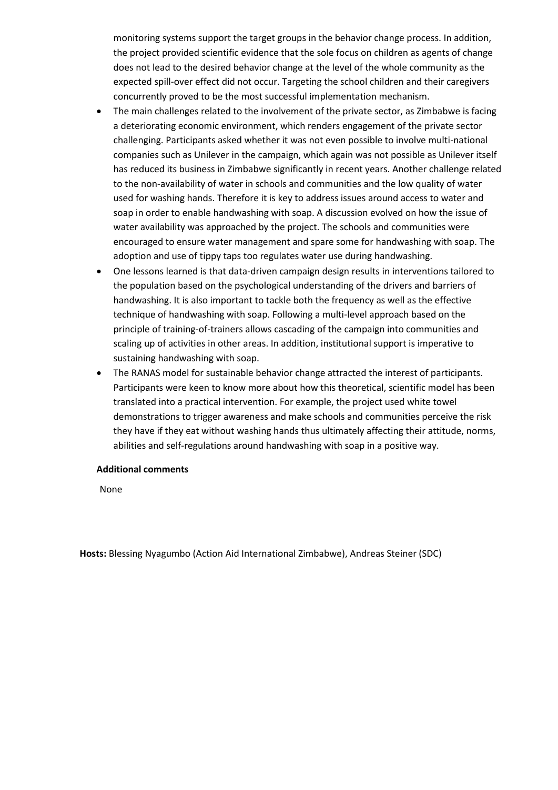monitoring systems support the target groups in the behavior change process. In addition, the project provided scientific evidence that the sole focus on children as agents of change does not lead to the desired behavior change at the level of the whole community as the expected spill-over effect did not occur. Targeting the school children and their caregivers concurrently proved to be the most successful implementation mechanism.

- The main challenges related to the involvement of the private sector, as Zimbabwe is facing a deteriorating economic environment, which renders engagement of the private sector challenging. Participants asked whether it was not even possible to involve multi-national companies such as Unilever in the campaign, which again was not possible as Unilever itself has reduced its business in Zimbabwe significantly in recent years. Another challenge related to the non-availability of water in schools and communities and the low quality of water used for washing hands. Therefore it is key to address issues around access to water and soap in order to enable handwashing with soap. A discussion evolved on how the issue of water availability was approached by the project. The schools and communities were encouraged to ensure water management and spare some for handwashing with soap. The adoption and use of tippy taps too regulates water use during handwashing.
- One lessons learned is that data-driven campaign design results in interventions tailored to the population based on the psychological understanding of the drivers and barriers of handwashing. It is also important to tackle both the frequency as well as the effective technique of handwashing with soap. Following a multi-level approach based on the principle of training-of-trainers allows cascading of the campaign into communities and scaling up of activities in other areas. In addition, institutional support is imperative to sustaining handwashing with soap.
- The RANAS model for sustainable behavior change attracted the interest of participants. Participants were keen to know more about how this theoretical, scientific model has been translated into a practical intervention. For example, the project used white towel demonstrations to trigger awareness and make schools and communities perceive the risk they have if they eat without washing hands thus ultimately affecting their attitude, norms, abilities and self-regulations around handwashing with soap in a positive way.

### **Additional comments**

None

**Hosts:** Blessing Nyagumbo (Action Aid International Zimbabwe), Andreas Steiner (SDC)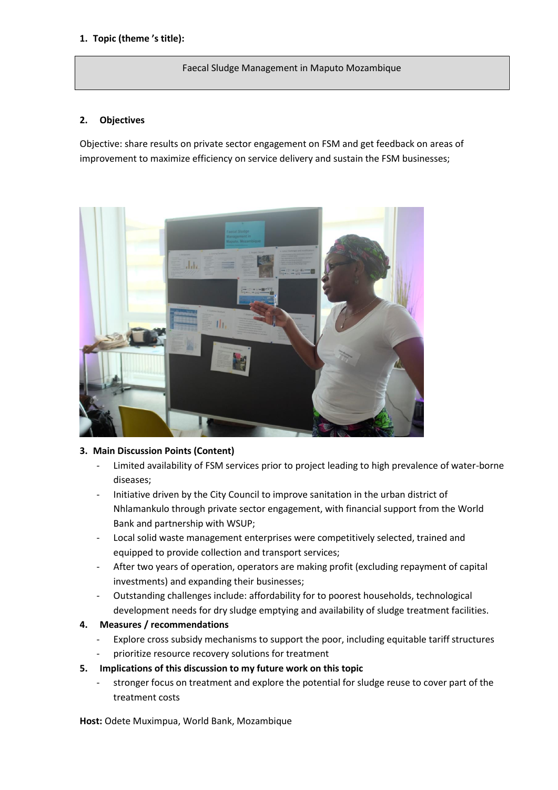#### Faecal Sludge Management in Maputo Mozambique

# **2. Objectives**

Objective: share results on private sector engagement on FSM and get feedback on areas of improvement to maximize efficiency on service delivery and sustain the FSM businesses;



# **3. Main Discussion Points (Content)**

- Limited availability of FSM services prior to project leading to high prevalence of water-borne diseases;
- Initiative driven by the City Council to improve sanitation in the urban district of Nhlamankulo through private sector engagement, with financial support from the World Bank and partnership with WSUP;
- Local solid waste management enterprises were competitively selected, trained and equipped to provide collection and transport services;
- After two years of operation, operators are making profit (excluding repayment of capital investments) and expanding their businesses;
- Outstanding challenges include: affordability for to poorest households, technological development needs for dry sludge emptying and availability of sludge treatment facilities.

### **4. Measures / recommendations**

- Explore cross subsidy mechanisms to support the poor, including equitable tariff structures
- prioritize resource recovery solutions for treatment
- **5. Implications of this discussion to my future work on this topic**
	- stronger focus on treatment and explore the potential for sludge reuse to cover part of the treatment costs

**Host:** Odete Muximpua, World Bank, Mozambique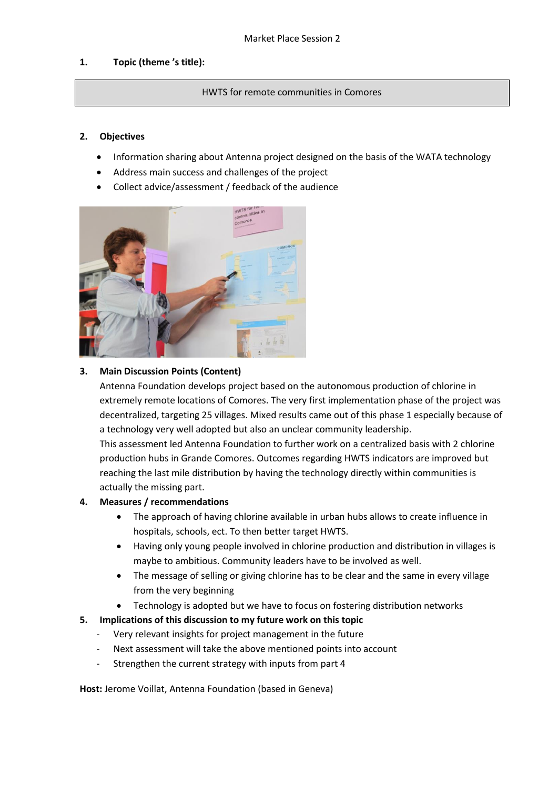#### HWTS for remote communities in Comores

#### **2. Objectives**

- Information sharing about Antenna project designed on the basis of the WATA technology
- Address main success and challenges of the project
- Collect advice/assessment / feedback of the audience



# **3. Main Discussion Points (Content)**

Antenna Foundation develops project based on the autonomous production of chlorine in extremely remote locations of Comores. The very first implementation phase of the project was decentralized, targeting 25 villages. Mixed results came out of this phase 1 especially because of a technology very well adopted but also an unclear community leadership.

This assessment led Antenna Foundation to further work on a centralized basis with 2 chlorine production hubs in Grande Comores. Outcomes regarding HWTS indicators are improved but reaching the last mile distribution by having the technology directly within communities is actually the missing part.

### **4. Measures / recommendations**

- The approach of having chlorine available in urban hubs allows to create influence in hospitals, schools, ect. To then better target HWTS.
- Having only young people involved in chlorine production and distribution in villages is maybe to ambitious. Community leaders have to be involved as well.
- The message of selling or giving chlorine has to be clear and the same in every village from the very beginning
- Technology is adopted but we have to focus on fostering distribution networks
- **5. Implications of this discussion to my future work on this topic**
	- Very relevant insights for project management in the future
	- Next assessment will take the above mentioned points into account
	- Strengthen the current strategy with inputs from part 4

**Host:** Jerome Voillat, Antenna Foundation (based in Geneva)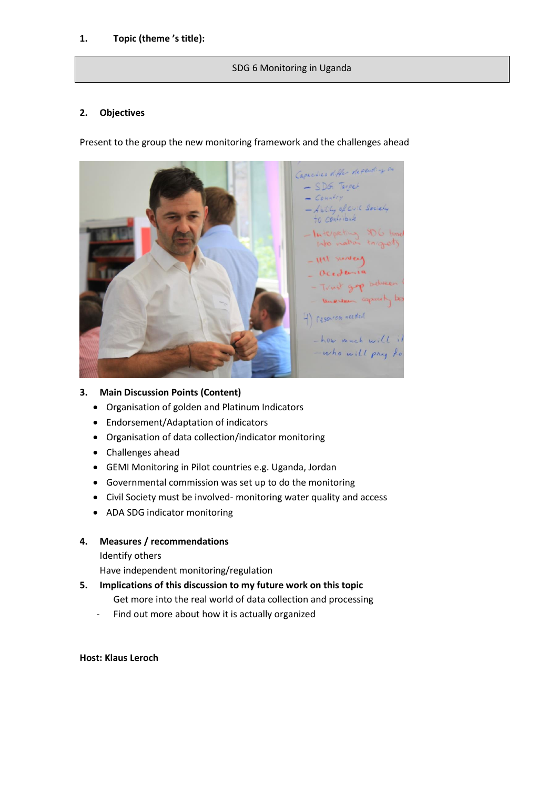### SDG 6 Monitoring in Uganda

### **2. Objectives**

Present to the group the new monitoring framework and the challenges ahead



## **3. Main Discussion Points (Content)**

- Organisation of golden and Platinum Indicators
- Endorsement/Adaptation of indicators
- Organisation of data collection/indicator monitoring
- Challenges ahead
- GEMI Monitoring in Pilot countries e.g. Uganda, Jordan
- Governmental commission was set up to do the monitoring
- Civil Society must be involved- monitoring water quality and access
- ADA SDG indicator monitoring
- **4. Measures / recommendations**

Identify others

Have independent monitoring/regulation

- **5. Implications of this discussion to my future work on this topic** Get more into the real world of data collection and processing
	- Find out more about how it is actually organized

### **Host: Klaus Leroch**